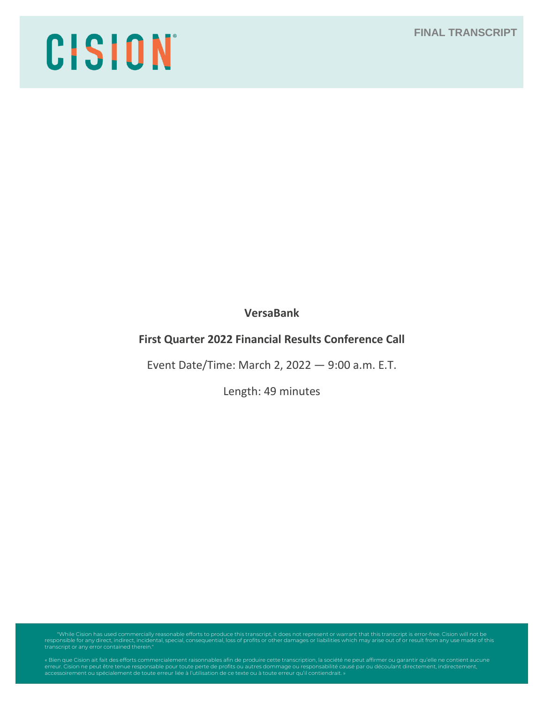# **FINAL TRANSCRIPT**

# CISION

**VersaBank**

# **First Quarter 2022 Financial Results Conference Call**

Event Date/Time: March 2, 2022 — 9:00 a.m. E.T.

Length: 49 minutes

"While Cision has used commercially reasonable efforts to produce this transcript, it does not represent or warrant that this transcript is error-free. Cision will not be<br>responsible for any direct, indirect, incidental, s

erreur. Cision ne peut être tenue responsable pour toute perte de profits ou autres dommage ou responsabilité causé par ou découlant directement, indirectement,<br>accessoirement ou spécialement de toute erreur liée à l'utili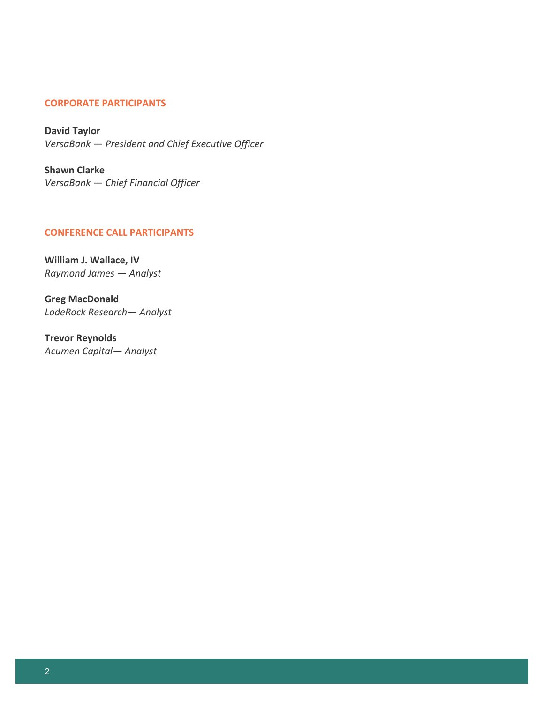# **CORPORATE PARTICIPANTS**

**David Taylor** *VersaBank — President and Chief Executive Officer*

**Shawn Clarke** *VersaBank — Chief Financial Officer*

#### **CONFERENCE CALL PARTICIPANTS**

**William J. Wallace, IV** *Raymond James — Analyst*

**Greg MacDonald** *LodeRock Research— Analyst*

**Trevor Reynolds** *Acumen Capital— Analyst*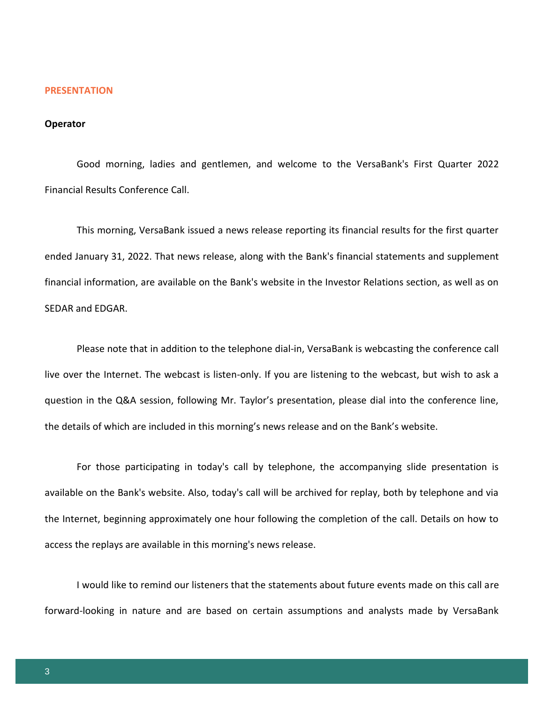#### **PRESENTATION**

#### **Operator**

Good morning, ladies and gentlemen, and welcome to the VersaBank's First Quarter 2022 Financial Results Conference Call.

This morning, VersaBank issued a news release reporting its financial results for the first quarter ended January 31, 2022. That news release, along with the Bank's financial statements and supplement financial information, are available on the Bank's website in the Investor Relations section, as well as on SEDAR and EDGAR.

Please note that in addition to the telephone dial-in, VersaBank is webcasting the conference call live over the Internet. The webcast is listen-only. If you are listening to the webcast, but wish to ask a question in the Q&A session, following Mr. Taylor's presentation, please dial into the conference line, the details of which are included in this morning's news release and on the Bank's website.

For those participating in today's call by telephone, the accompanying slide presentation is available on the Bank's website. Also, today's call will be archived for replay, both by telephone and via the Internet, beginning approximately one hour following the completion of the call. Details on how to access the replays are available in this morning's news release.

I would like to remind our listeners that the statements about future events made on this call are forward-looking in nature and are based on certain assumptions and analysts made by VersaBank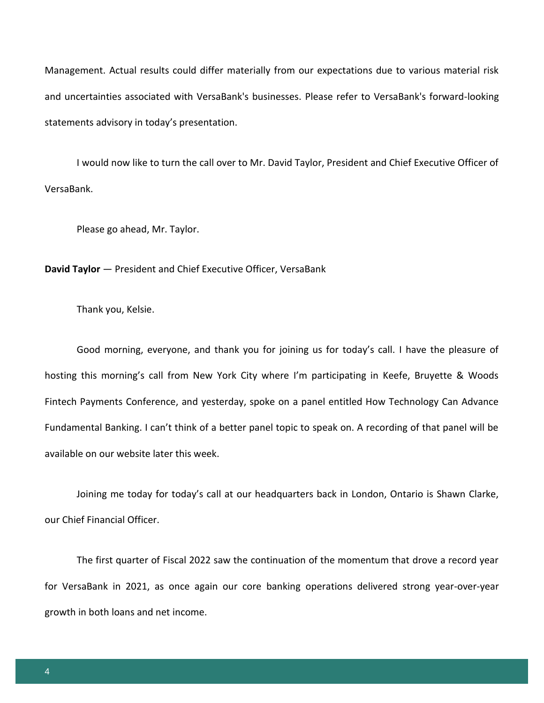Management. Actual results could differ materially from our expectations due to various material risk and uncertainties associated with VersaBank's businesses. Please refer to VersaBank's forward-looking statements advisory in today's presentation.

I would now like to turn the call over to Mr. David Taylor, President and Chief Executive Officer of VersaBank.

Please go ahead, Mr. Taylor.

**David Taylor** — President and Chief Executive Officer, VersaBank

Thank you, Kelsie.

Good morning, everyone, and thank you for joining us for today's call. I have the pleasure of hosting this morning's call from New York City where I'm participating in Keefe, Bruyette & Woods Fintech Payments Conference, and yesterday, spoke on a panel entitled How Technology Can Advance Fundamental Banking. I can't think of a better panel topic to speak on. A recording of that panel will be available on our website later this week.

Joining me today for today's call at our headquarters back in London, Ontario is Shawn Clarke, our Chief Financial Officer.

The first quarter of Fiscal 2022 saw the continuation of the momentum that drove a record year for VersaBank in 2021, as once again our core banking operations delivered strong year-over-year growth in both loans and net income.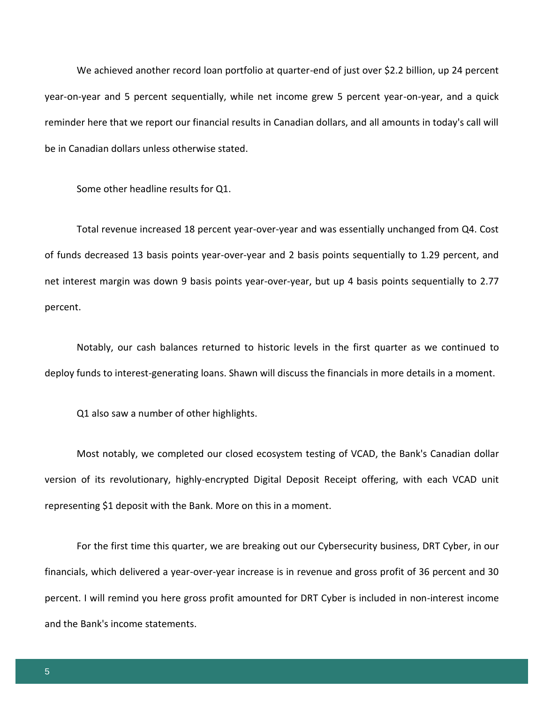We achieved another record loan portfolio at quarter-end of just over \$2.2 billion, up 24 percent year-on-year and 5 percent sequentially, while net income grew 5 percent year-on-year, and a quick reminder here that we report our financial results in Canadian dollars, and all amounts in today's call will be in Canadian dollars unless otherwise stated.

Some other headline results for Q1.

Total revenue increased 18 percent year-over-year and was essentially unchanged from Q4. Cost of funds decreased 13 basis points year-over-year and 2 basis points sequentially to 1.29 percent, and net interest margin was down 9 basis points year-over-year, but up 4 basis points sequentially to 2.77 percent.

Notably, our cash balances returned to historic levels in the first quarter as we continued to deploy funds to interest-generating loans. Shawn will discuss the financials in more details in a moment.

Q1 also saw a number of other highlights.

Most notably, we completed our closed ecosystem testing of VCAD, the Bank's Canadian dollar version of its revolutionary, highly-encrypted Digital Deposit Receipt offering, with each VCAD unit representing \$1 deposit with the Bank. More on this in a moment.

For the first time this quarter, we are breaking out our Cybersecurity business, DRT Cyber, in our financials, which delivered a year-over-year increase is in revenue and gross profit of 36 percent and 30 percent. I will remind you here gross profit amounted for DRT Cyber is included in non-interest income and the Bank's income statements.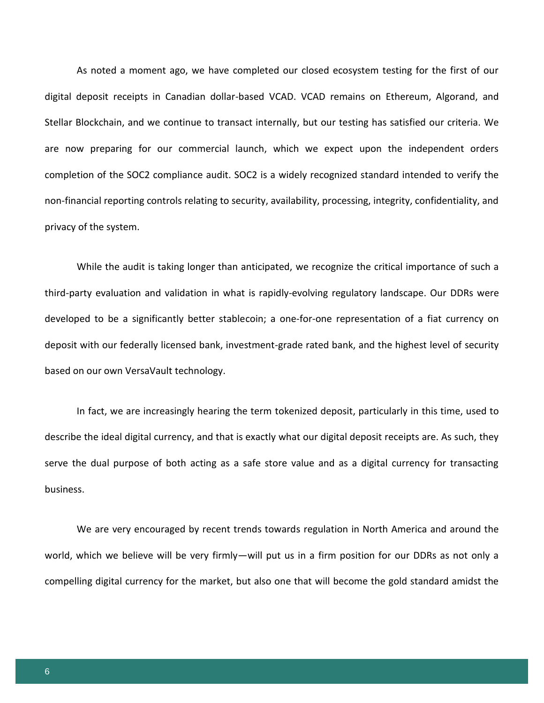As noted a moment ago, we have completed our closed ecosystem testing for the first of our digital deposit receipts in Canadian dollar-based VCAD. VCAD remains on Ethereum, Algorand, and Stellar Blockchain, and we continue to transact internally, but our testing has satisfied our criteria. We are now preparing for our commercial launch, which we expect upon the independent orders completion of the SOC2 compliance audit. SOC2 is a widely recognized standard intended to verify the non-financial reporting controls relating to security, availability, processing, integrity, confidentiality, and privacy of the system.

While the audit is taking longer than anticipated, we recognize the critical importance of such a third-party evaluation and validation in what is rapidly-evolving regulatory landscape. Our DDRs were developed to be a significantly better stablecoin; a one-for-one representation of a fiat currency on deposit with our federally licensed bank, investment-grade rated bank, and the highest level of security based on our own VersaVault technology.

In fact, we are increasingly hearing the term tokenized deposit, particularly in this time, used to describe the ideal digital currency, and that is exactly what our digital deposit receipts are. As such, they serve the dual purpose of both acting as a safe store value and as a digital currency for transacting business.

We are very encouraged by recent trends towards regulation in North America and around the world, which we believe will be very firmly—will put us in a firm position for our DDRs as not only a compelling digital currency for the market, but also one that will become the gold standard amidst the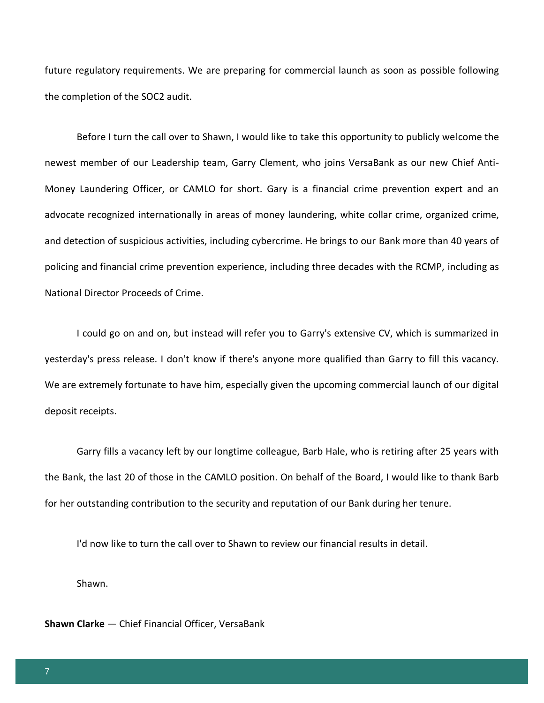future regulatory requirements. We are preparing for commercial launch as soon as possible following the completion of the SOC2 audit.

Before I turn the call over to Shawn, I would like to take this opportunity to publicly welcome the newest member of our Leadership team, Garry Clement, who joins VersaBank as our new Chief Anti-Money Laundering Officer, or CAMLO for short. Gary is a financial crime prevention expert and an advocate recognized internationally in areas of money laundering, white collar crime, organized crime, and detection of suspicious activities, including cybercrime. He brings to our Bank more than 40 years of policing and financial crime prevention experience, including three decades with the RCMP, including as National Director Proceeds of Crime.

I could go on and on, but instead will refer you to Garry's extensive CV, which is summarized in yesterday's press release. I don't know if there's anyone more qualified than Garry to fill this vacancy. We are extremely fortunate to have him, especially given the upcoming commercial launch of our digital deposit receipts.

Garry fills a vacancy left by our longtime colleague, Barb Hale, who is retiring after 25 years with the Bank, the last 20 of those in the CAMLO position. On behalf of the Board, I would like to thank Barb for her outstanding contribution to the security and reputation of our Bank during her tenure.

I'd now like to turn the call over to Shawn to review our financial results in detail.

Shawn.

**Shawn Clarke** — Chief Financial Officer, VersaBank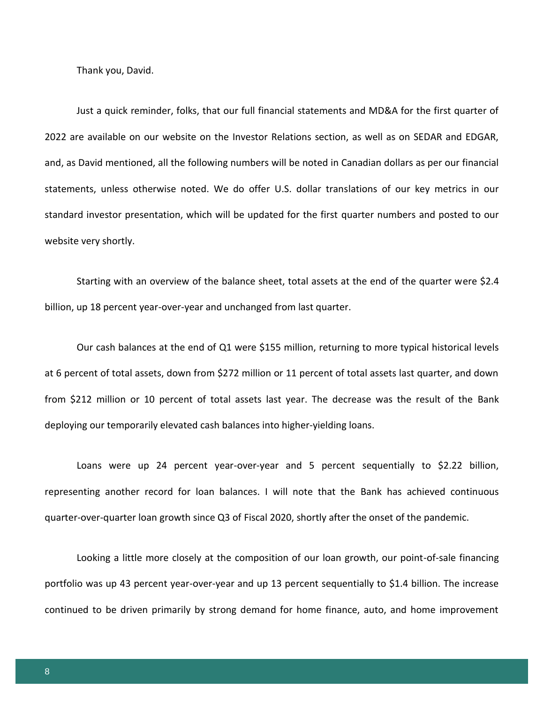Thank you, David.

Just a quick reminder, folks, that our full financial statements and MD&A for the first quarter of 2022 are available on our website on the Investor Relations section, as well as on SEDAR and EDGAR, and, as David mentioned, all the following numbers will be noted in Canadian dollars as per our financial statements, unless otherwise noted. We do offer U.S. dollar translations of our key metrics in our standard investor presentation, which will be updated for the first quarter numbers and posted to our website very shortly.

Starting with an overview of the balance sheet, total assets at the end of the quarter were \$2.4 billion, up 18 percent year-over-year and unchanged from last quarter.

Our cash balances at the end of Q1 were \$155 million, returning to more typical historical levels at 6 percent of total assets, down from \$272 million or 11 percent of total assets last quarter, and down from \$212 million or 10 percent of total assets last year. The decrease was the result of the Bank deploying our temporarily elevated cash balances into higher-yielding loans.

Loans were up 24 percent year-over-year and 5 percent sequentially to \$2.22 billion, representing another record for loan balances. I will note that the Bank has achieved continuous quarter-over-quarter loan growth since Q3 of Fiscal 2020, shortly after the onset of the pandemic.

Looking a little more closely at the composition of our loan growth, our point-of-sale financing portfolio was up 43 percent year-over-year and up 13 percent sequentially to \$1.4 billion. The increase continued to be driven primarily by strong demand for home finance, auto, and home improvement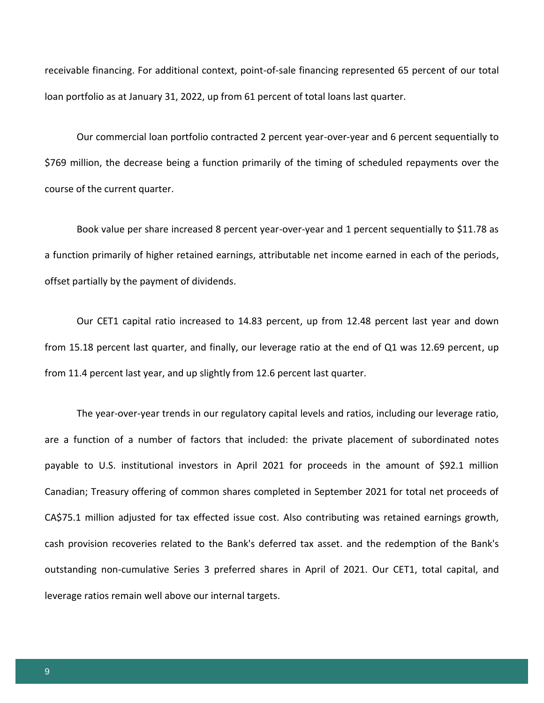receivable financing. For additional context, point-of-sale financing represented 65 percent of our total loan portfolio as at January 31, 2022, up from 61 percent of total loans last quarter.

Our commercial loan portfolio contracted 2 percent year-over-year and 6 percent sequentially to \$769 million, the decrease being a function primarily of the timing of scheduled repayments over the course of the current quarter.

Book value per share increased 8 percent year-over-year and 1 percent sequentially to \$11.78 as a function primarily of higher retained earnings, attributable net income earned in each of the periods, offset partially by the payment of dividends.

Our CET1 capital ratio increased to 14.83 percent, up from 12.48 percent last year and down from 15.18 percent last quarter, and finally, our leverage ratio at the end of Q1 was 12.69 percent, up from 11.4 percent last year, and up slightly from 12.6 percent last quarter.

The year-over-year trends in our regulatory capital levels and ratios, including our leverage ratio, are a function of a number of factors that included: the private placement of subordinated notes payable to U.S. institutional investors in April 2021 for proceeds in the amount of \$92.1 million Canadian; Treasury offering of common shares completed in September 2021 for total net proceeds of CA\$75.1 million adjusted for tax effected issue cost. Also contributing was retained earnings growth, cash provision recoveries related to the Bank's deferred tax asset. and the redemption of the Bank's outstanding non-cumulative Series 3 preferred shares in April of 2021. Our CET1, total capital, and leverage ratios remain well above our internal targets.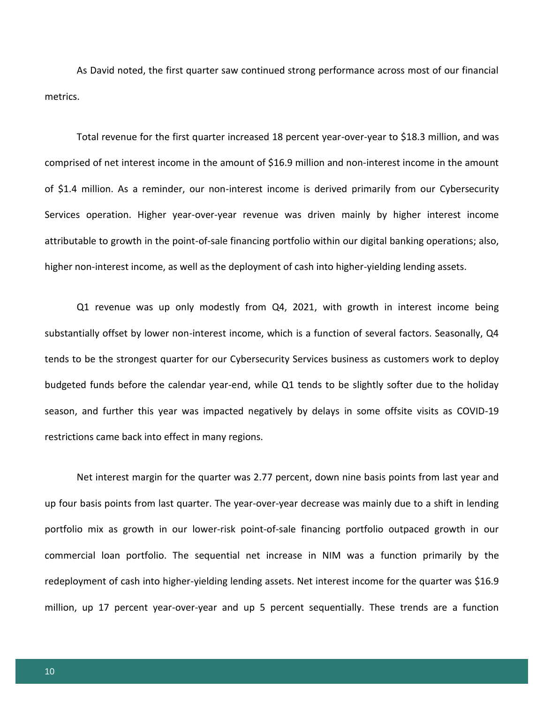As David noted, the first quarter saw continued strong performance across most of our financial metrics.

Total revenue for the first quarter increased 18 percent year-over-year to \$18.3 million, and was comprised of net interest income in the amount of \$16.9 million and non-interest income in the amount of \$1.4 million. As a reminder, our non-interest income is derived primarily from our Cybersecurity Services operation. Higher year-over-year revenue was driven mainly by higher interest income attributable to growth in the point-of-sale financing portfolio within our digital banking operations; also, higher non-interest income, as well as the deployment of cash into higher-yielding lending assets.

Q1 revenue was up only modestly from Q4, 2021, with growth in interest income being substantially offset by lower non-interest income, which is a function of several factors. Seasonally, Q4 tends to be the strongest quarter for our Cybersecurity Services business as customers work to deploy budgeted funds before the calendar year-end, while Q1 tends to be slightly softer due to the holiday season, and further this year was impacted negatively by delays in some offsite visits as COVID-19 restrictions came back into effect in many regions.

Net interest margin for the quarter was 2.77 percent, down nine basis points from last year and up four basis points from last quarter. The year-over-year decrease was mainly due to a shift in lending portfolio mix as growth in our lower-risk point-of-sale financing portfolio outpaced growth in our commercial loan portfolio. The sequential net increase in NIM was a function primarily by the redeployment of cash into higher-yielding lending assets. Net interest income for the quarter was \$16.9 million, up 17 percent year-over-year and up 5 percent sequentially. These trends are a function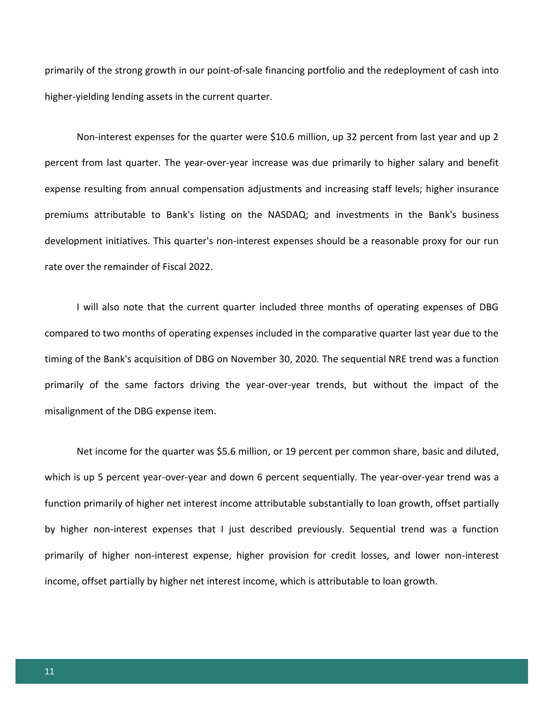primarily of the strong growth in our point-of-sale financing portfolio and the redeployment of cash into higher-yielding lending assets in the current quarter.

Non-interest expenses for the quarter were \$10.6 million, up 32 percent from last year and up 2 percent from last quarter. The year-over-year increase was due primarily to higher salary and benefit expense resulting from annual compensation adjustments and increasing staff levels; higher insurance premiums attributable to Bank's listing on the NASDAQ; and investments in the Bank's business development initiatives. This quarter's non-interest expenses should be a reasonable proxy for our run rate over the remainder of Fiscal 2022.

I will also note that the current quarter included three months of operating expenses of DBG compared to two months of operating expenses included in the comparative quarter last year due to the timing of the Bank's acquisition of DBG on November 30, 2020. The sequential NRE trend was a function primarily of the same factors driving the year-over-year trends, but without the impact of the misalignment of the DBG expense item.

Net income for the quarter was \$5.6 million, or 19 percent per common share, basic and diluted, which is up 5 percent year-over-year and down 6 percent sequentially. The year-over-year trend was a function primarily of higher net interest income attributable substantially to loan growth, offset partially by higher non-interest expenses that I just described previously. Sequential trend was a function primarily of higher non-interest expense, higher provision for credit losses, and lower non-interest income, offset partially by higher net interest income, which is attributable to loan growth.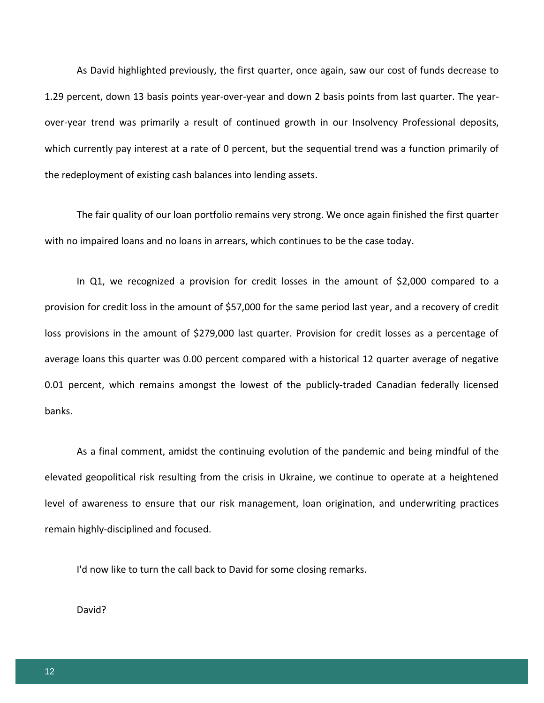As David highlighted previously, the first quarter, once again, saw our cost of funds decrease to 1.29 percent, down 13 basis points year-over-year and down 2 basis points from last quarter. The yearover-year trend was primarily a result of continued growth in our Insolvency Professional deposits, which currently pay interest at a rate of 0 percent, but the sequential trend was a function primarily of the redeployment of existing cash balances into lending assets.

The fair quality of our loan portfolio remains very strong. We once again finished the first quarter with no impaired loans and no loans in arrears, which continues to be the case today.

In Q1, we recognized a provision for credit losses in the amount of \$2,000 compared to a provision for credit loss in the amount of \$57,000 for the same period last year, and a recovery of credit loss provisions in the amount of \$279,000 last quarter. Provision for credit losses as a percentage of average loans this quarter was 0.00 percent compared with a historical 12 quarter average of negative 0.01 percent, which remains amongst the lowest of the publicly-traded Canadian federally licensed banks.

As a final comment, amidst the continuing evolution of the pandemic and being mindful of the elevated geopolitical risk resulting from the crisis in Ukraine, we continue to operate at a heightened level of awareness to ensure that our risk management, loan origination, and underwriting practices remain highly-disciplined and focused.

I'd now like to turn the call back to David for some closing remarks.

David?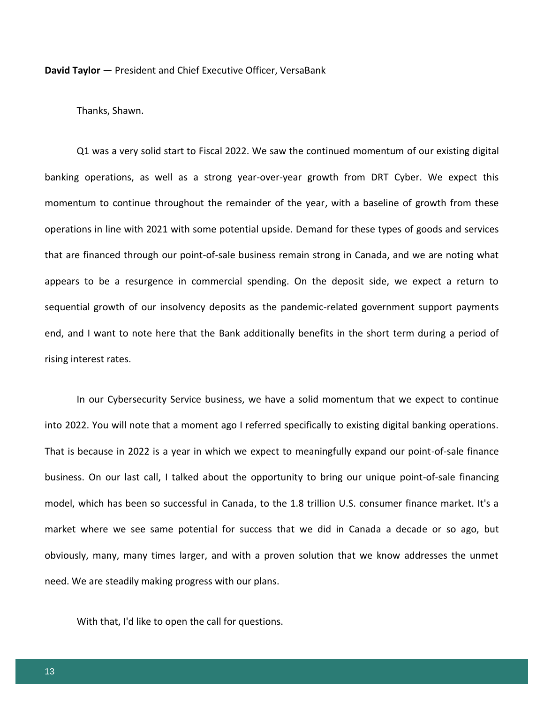**David Taylor** — President and Chief Executive Officer, VersaBank

Thanks, Shawn.

Q1 was a very solid start to Fiscal 2022. We saw the continued momentum of our existing digital banking operations, as well as a strong year-over-year growth from DRT Cyber. We expect this momentum to continue throughout the remainder of the year, with a baseline of growth from these operations in line with 2021 with some potential upside. Demand for these types of goods and services that are financed through our point-of-sale business remain strong in Canada, and we are noting what appears to be a resurgence in commercial spending. On the deposit side, we expect a return to sequential growth of our insolvency deposits as the pandemic-related government support payments end, and I want to note here that the Bank additionally benefits in the short term during a period of rising interest rates.

In our Cybersecurity Service business, we have a solid momentum that we expect to continue into 2022. You will note that a moment ago I referred specifically to existing digital banking operations. That is because in 2022 is a year in which we expect to meaningfully expand our point-of-sale finance business. On our last call, I talked about the opportunity to bring our unique point-of-sale financing model, which has been so successful in Canada, to the 1.8 trillion U.S. consumer finance market. It's a market where we see same potential for success that we did in Canada a decade or so ago, but obviously, many, many times larger, and with a proven solution that we know addresses the unmet need. We are steadily making progress with our plans.

With that, I'd like to open the call for questions.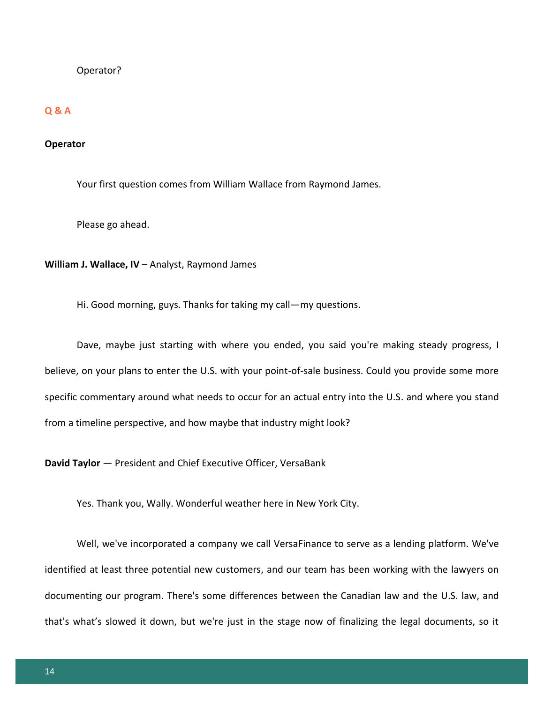# Operator?

# **Q & A**

# **Operator**

Your first question comes from William Wallace from Raymond James.

Please go ahead.

**William J. Wallace, IV** – Analyst, Raymond James

Hi. Good morning, guys. Thanks for taking my call—my questions.

Dave, maybe just starting with where you ended, you said you're making steady progress, I believe, on your plans to enter the U.S. with your point-of-sale business. Could you provide some more specific commentary around what needs to occur for an actual entry into the U.S. and where you stand from a timeline perspective, and how maybe that industry might look?

**David Taylor** — President and Chief Executive Officer, VersaBank

Yes. Thank you, Wally. Wonderful weather here in New York City.

Well, we've incorporated a company we call VersaFinance to serve as a lending platform. We've identified at least three potential new customers, and our team has been working with the lawyers on documenting our program. There's some differences between the Canadian law and the U.S. law, and that's what's slowed it down, but we're just in the stage now of finalizing the legal documents, so it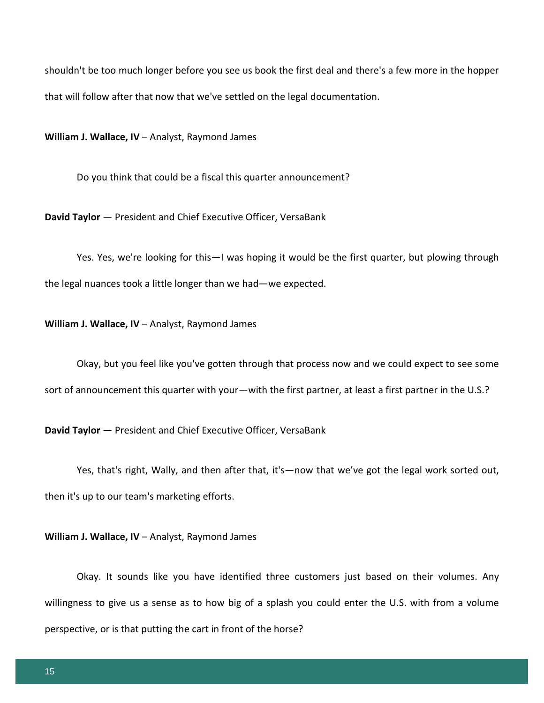shouldn't be too much longer before you see us book the first deal and there's a few more in the hopper that will follow after that now that we've settled on the legal documentation.

**William J. Wallace, IV** – Analyst, Raymond James

Do you think that could be a fiscal this quarter announcement?

**David Taylor** — President and Chief Executive Officer, VersaBank

Yes. Yes, we're looking for this—I was hoping it would be the first quarter, but plowing through the legal nuances took a little longer than we had—we expected.

**William J. Wallace, IV** – Analyst, Raymond James

Okay, but you feel like you've gotten through that process now and we could expect to see some sort of announcement this quarter with your—with the first partner, at least a first partner in the U.S.?

**David Taylor** — President and Chief Executive Officer, VersaBank

Yes, that's right, Wally, and then after that, it's—now that we've got the legal work sorted out, then it's up to our team's marketing efforts.

**William J. Wallace, IV** – Analyst, Raymond James

Okay. It sounds like you have identified three customers just based on their volumes. Any willingness to give us a sense as to how big of a splash you could enter the U.S. with from a volume perspective, or is that putting the cart in front of the horse?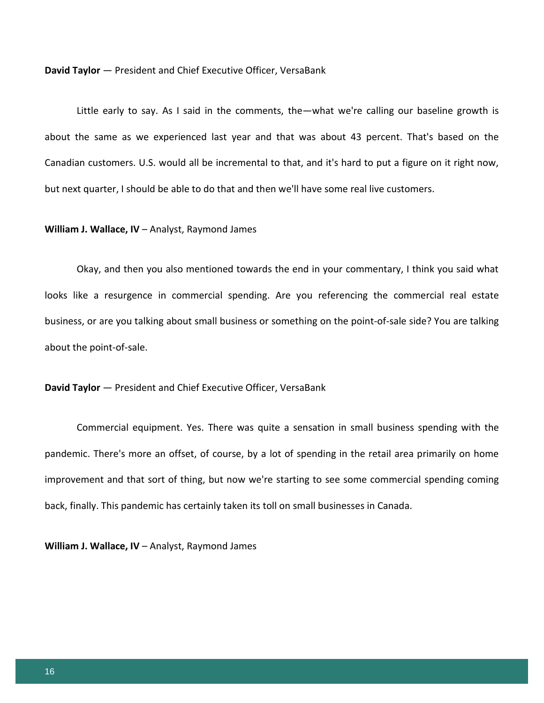**David Taylor** — President and Chief Executive Officer, VersaBank

Little early to say. As I said in the comments, the—what we're calling our baseline growth is about the same as we experienced last year and that was about 43 percent. That's based on the Canadian customers. U.S. would all be incremental to that, and it's hard to put a figure on it right now, but next quarter, I should be able to do that and then we'll have some real live customers.

#### **William J. Wallace, IV** – Analyst, Raymond James

Okay, and then you also mentioned towards the end in your commentary, I think you said what looks like a resurgence in commercial spending. Are you referencing the commercial real estate business, or are you talking about small business or something on the point-of-sale side? You are talking about the point-of-sale.

**David Taylor** — President and Chief Executive Officer, VersaBank

Commercial equipment. Yes. There was quite a sensation in small business spending with the pandemic. There's more an offset, of course, by a lot of spending in the retail area primarily on home improvement and that sort of thing, but now we're starting to see some commercial spending coming back, finally. This pandemic has certainly taken its toll on small businesses in Canada.

**William J. Wallace, IV** – Analyst, Raymond James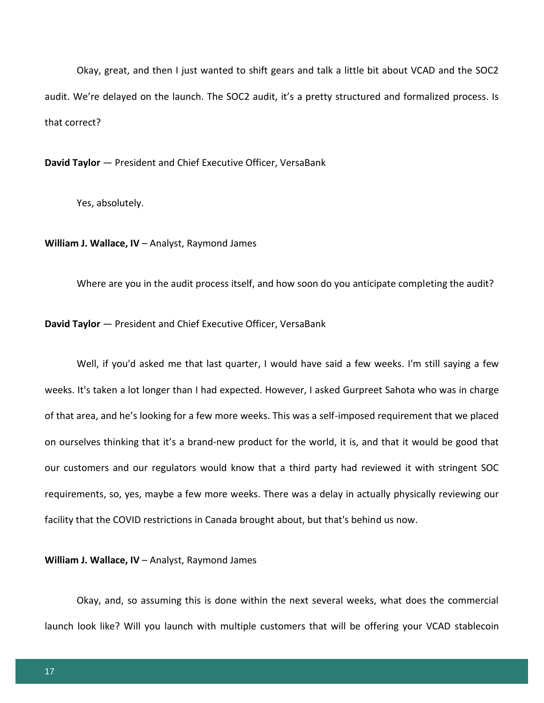Okay, great, and then I just wanted to shift gears and talk a little bit about VCAD and the SOC2 audit. We're delayed on the launch. The SOC2 audit, it's a pretty structured and formalized process. Is that correct?

**David Taylor** — President and Chief Executive Officer, VersaBank

Yes, absolutely.

**William J. Wallace, IV** – Analyst, Raymond James

Where are you in the audit process itself, and how soon do you anticipate completing the audit?

**David Taylor** — President and Chief Executive Officer, VersaBank

Well, if you'd asked me that last quarter, I would have said a few weeks. I'm still saying a few weeks. It's taken a lot longer than I had expected. However, I asked Gurpreet Sahota who was in charge of that area, and he's looking for a few more weeks. This was a self-imposed requirement that we placed on ourselves thinking that it's a brand-new product for the world, it is, and that it would be good that our customers and our regulators would know that a third party had reviewed it with stringent SOC requirements, so, yes, maybe a few more weeks. There was a delay in actually physically reviewing our facility that the COVID restrictions in Canada brought about, but that's behind us now.

**William J. Wallace, IV** – Analyst, Raymond James

Okay, and, so assuming this is done within the next several weeks, what does the commercial launch look like? Will you launch with multiple customers that will be offering your VCAD stablecoin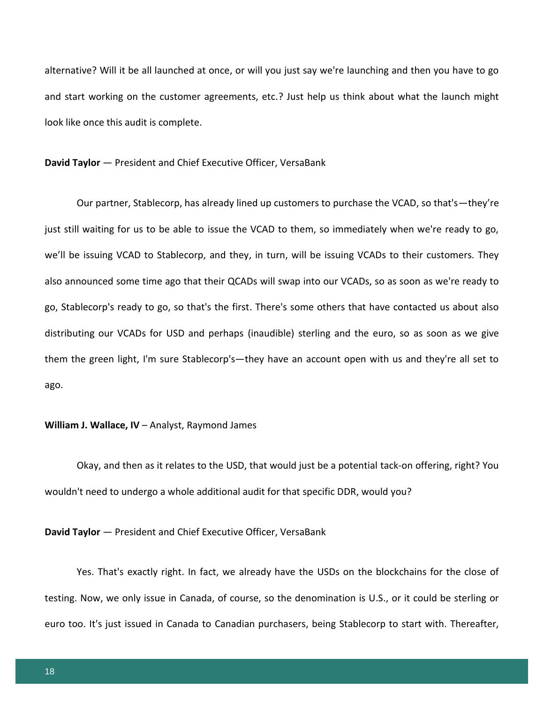alternative? Will it be all launched at once, or will you just say we're launching and then you have to go and start working on the customer agreements, etc.? Just help us think about what the launch might look like once this audit is complete.

#### **David Taylor** — President and Chief Executive Officer, VersaBank

Our partner, Stablecorp, has already lined up customers to purchase the VCAD, so that's—they're just still waiting for us to be able to issue the VCAD to them, so immediately when we're ready to go, we'll be issuing VCAD to Stablecorp, and they, in turn, will be issuing VCADs to their customers. They also announced some time ago that their QCADs will swap into our VCADs, so as soon as we're ready to go, Stablecorp's ready to go, so that's the first. There's some others that have contacted us about also distributing our VCADs for USD and perhaps (inaudible) sterling and the euro, so as soon as we give them the green light, I'm sure Stablecorp's—they have an account open with us and they're all set to ago.

#### **William J. Wallace, IV** – Analyst, Raymond James

Okay, and then as it relates to the USD, that would just be a potential tack-on offering, right? You wouldn't need to undergo a whole additional audit for that specific DDR, would you?

#### **David Taylor** — President and Chief Executive Officer, VersaBank

Yes. That's exactly right. In fact, we already have the USDs on the blockchains for the close of testing. Now, we only issue in Canada, of course, so the denomination is U.S., or it could be sterling or euro too. It's just issued in Canada to Canadian purchasers, being Stablecorp to start with. Thereafter,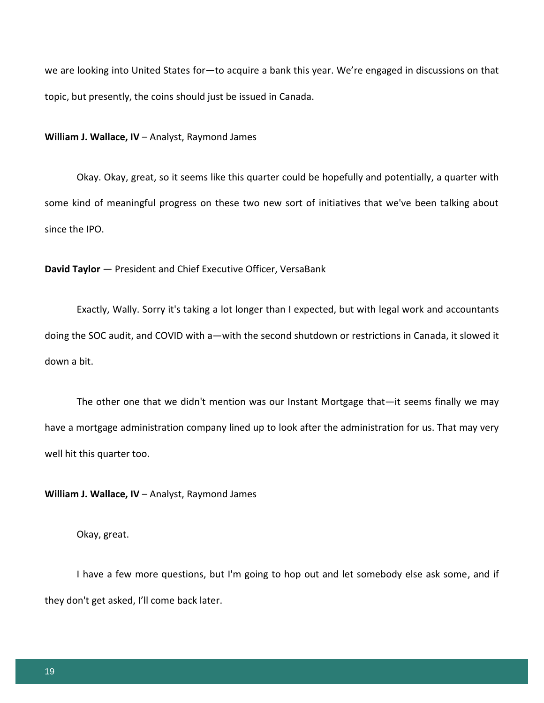we are looking into United States for—to acquire a bank this year. We're engaged in discussions on that topic, but presently, the coins should just be issued in Canada.

#### **William J. Wallace, IV** – Analyst, Raymond James

Okay. Okay, great, so it seems like this quarter could be hopefully and potentially, a quarter with some kind of meaningful progress on these two new sort of initiatives that we've been talking about since the IPO.

**David Taylor** — President and Chief Executive Officer, VersaBank

Exactly, Wally. Sorry it's taking a lot longer than I expected, but with legal work and accountants doing the SOC audit, and COVID with a—with the second shutdown or restrictions in Canada, it slowed it down a bit.

The other one that we didn't mention was our Instant Mortgage that—it seems finally we may have a mortgage administration company lined up to look after the administration for us. That may very well hit this quarter too.

**William J. Wallace, IV** – Analyst, Raymond James

Okay, great.

I have a few more questions, but I'm going to hop out and let somebody else ask some, and if they don't get asked, I'll come back later.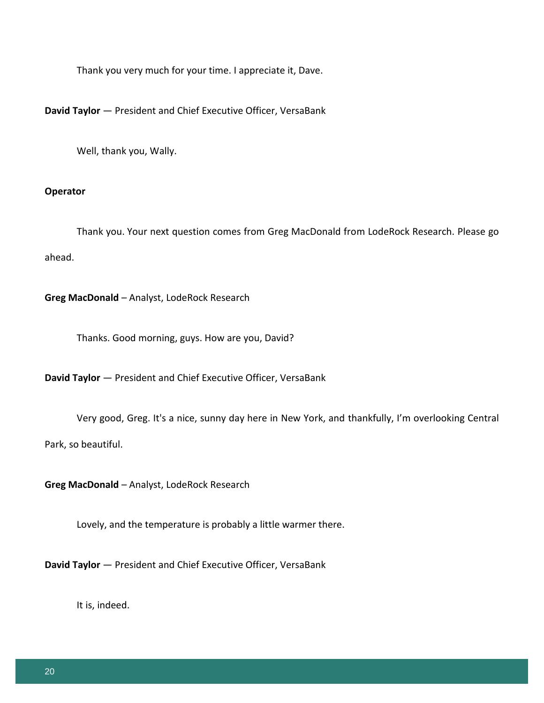Thank you very much for your time. I appreciate it, Dave.

**David Taylor** — President and Chief Executive Officer, VersaBank

Well, thank you, Wally.

# **Operator**

Thank you. Your next question comes from Greg MacDonald from LodeRock Research. Please go ahead.

**Greg MacDonald** – Analyst, LodeRock Research

Thanks. Good morning, guys. How are you, David?

**David Taylor** — President and Chief Executive Officer, VersaBank

Very good, Greg. It's a nice, sunny day here in New York, and thankfully, I'm overlooking Central

Park, so beautiful.

**Greg MacDonald** – Analyst, LodeRock Research

Lovely, and the temperature is probably a little warmer there.

**David Taylor** — President and Chief Executive Officer, VersaBank

It is, indeed.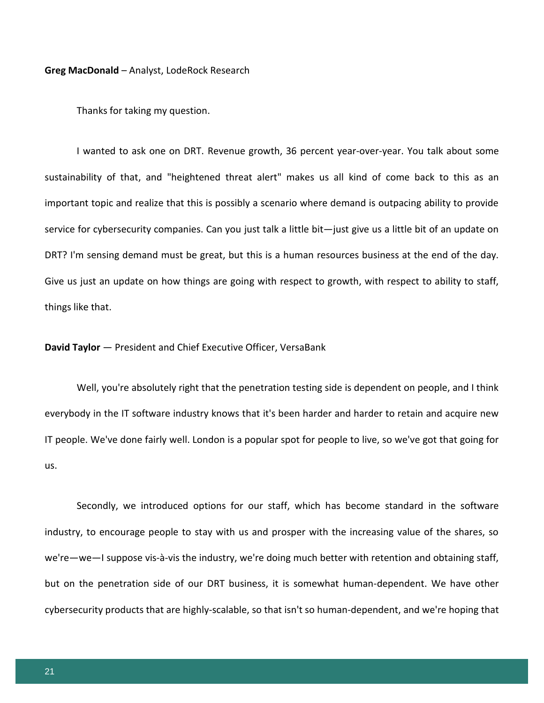**Greg MacDonald** – Analyst, LodeRock Research

Thanks for taking my question.

I wanted to ask one on DRT. Revenue growth, 36 percent year-over-year. You talk about some sustainability of that, and "heightened threat alert" makes us all kind of come back to this as an important topic and realize that this is possibly a scenario where demand is outpacing ability to provide service for cybersecurity companies. Can you just talk a little bit—just give us a little bit of an update on DRT? I'm sensing demand must be great, but this is a human resources business at the end of the day. Give us just an update on how things are going with respect to growth, with respect to ability to staff, things like that.

# **David Taylor** — President and Chief Executive Officer, VersaBank

Well, you're absolutely right that the penetration testing side is dependent on people, and I think everybody in the IT software industry knows that it's been harder and harder to retain and acquire new IT people. We've done fairly well. London is a popular spot for people to live, so we've got that going for us.

Secondly, we introduced options for our staff, which has become standard in the software industry, to encourage people to stay with us and prosper with the increasing value of the shares, so we're—we—I suppose vis-à-vis the industry, we're doing much better with retention and obtaining staff, but on the penetration side of our DRT business, it is somewhat human-dependent. We have other cybersecurity products that are highly-scalable, so that isn't so human-dependent, and we're hoping that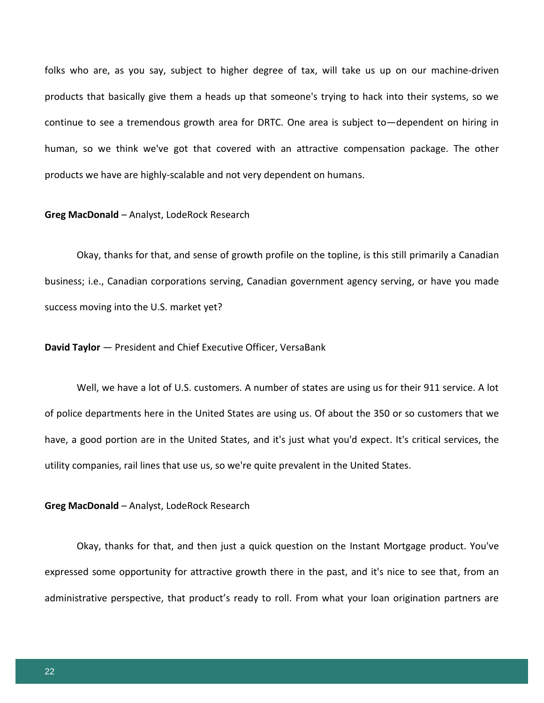folks who are, as you say, subject to higher degree of tax, will take us up on our machine-driven products that basically give them a heads up that someone's trying to hack into their systems, so we continue to see a tremendous growth area for DRTC. One area is subject to—dependent on hiring in human, so we think we've got that covered with an attractive compensation package. The other products we have are highly-scalable and not very dependent on humans.

#### **Greg MacDonald** – Analyst, LodeRock Research

Okay, thanks for that, and sense of growth profile on the topline, is this still primarily a Canadian business; i.e., Canadian corporations serving, Canadian government agency serving, or have you made success moving into the U.S. market yet?

# **David Taylor** — President and Chief Executive Officer, VersaBank

Well, we have a lot of U.S. customers. A number of states are using us for their 911 service. A lot of police departments here in the United States are using us. Of about the 350 or so customers that we have, a good portion are in the United States, and it's just what you'd expect. It's critical services, the utility companies, rail lines that use us, so we're quite prevalent in the United States.

#### **Greg MacDonald** – Analyst, LodeRock Research

Okay, thanks for that, and then just a quick question on the Instant Mortgage product. You've expressed some opportunity for attractive growth there in the past, and it's nice to see that, from an administrative perspective, that product's ready to roll. From what your loan origination partners are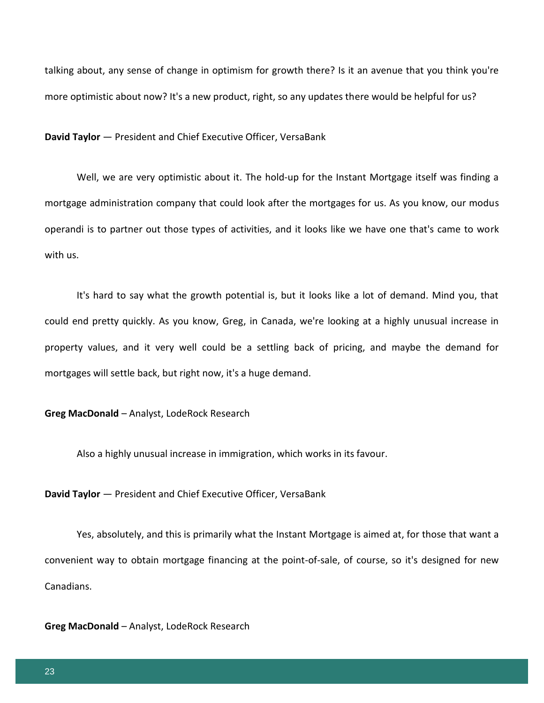talking about, any sense of change in optimism for growth there? Is it an avenue that you think you're more optimistic about now? It's a new product, right, so any updates there would be helpful for us?

**David Taylor** — President and Chief Executive Officer, VersaBank

Well, we are very optimistic about it. The hold-up for the Instant Mortgage itself was finding a mortgage administration company that could look after the mortgages for us. As you know, our modus operandi is to partner out those types of activities, and it looks like we have one that's came to work with us.

It's hard to say what the growth potential is, but it looks like a lot of demand. Mind you, that could end pretty quickly. As you know, Greg, in Canada, we're looking at a highly unusual increase in property values, and it very well could be a settling back of pricing, and maybe the demand for mortgages will settle back, but right now, it's a huge demand.

**Greg MacDonald** – Analyst, LodeRock Research

Also a highly unusual increase in immigration, which works in its favour.

**David Taylor** — President and Chief Executive Officer, VersaBank

Yes, absolutely, and this is primarily what the Instant Mortgage is aimed at, for those that want a convenient way to obtain mortgage financing at the point-of-sale, of course, so it's designed for new Canadians.

**Greg MacDonald** – Analyst, LodeRock Research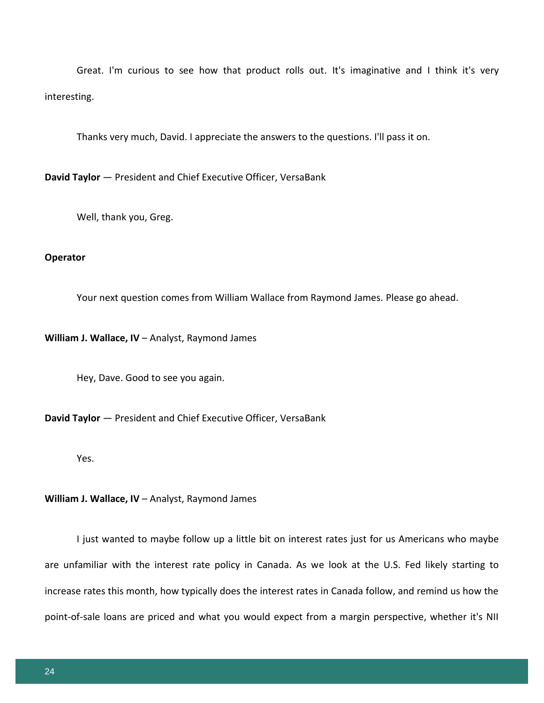Great. I'm curious to see how that product rolls out. It's imaginative and I think it's very interesting.

Thanks very much, David. I appreciate the answers to the questions. I'll pass it on.

**David Taylor** — President and Chief Executive Officer, VersaBank

Well, thank you, Greg.

#### **Operator**

Your next question comes from William Wallace from Raymond James. Please go ahead.

**William J. Wallace, IV** – Analyst, Raymond James

Hey, Dave. Good to see you again.

**David Taylor** — President and Chief Executive Officer, VersaBank

Yes.

**William J. Wallace, IV** – Analyst, Raymond James

I just wanted to maybe follow up a little bit on interest rates just for us Americans who maybe are unfamiliar with the interest rate policy in Canada. As we look at the U.S. Fed likely starting to increase rates this month, how typically does the interest rates in Canada follow, and remind us how the point-of-sale loans are priced and what you would expect from a margin perspective, whether it's NII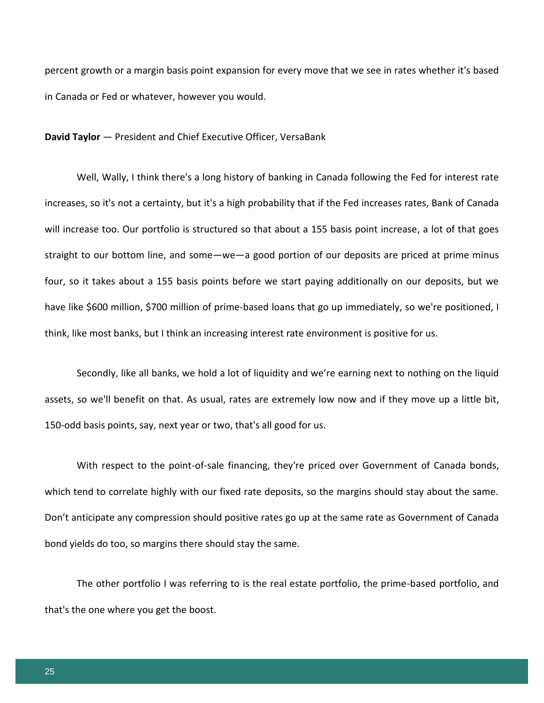percent growth or a margin basis point expansion for every move that we see in rates whether it's based in Canada or Fed or whatever, however you would.

**David Taylor** — President and Chief Executive Officer, VersaBank

Well, Wally, I think there's a long history of banking in Canada following the Fed for interest rate increases, so it's not a certainty, but it's a high probability that if the Fed increases rates, Bank of Canada will increase too. Our portfolio is structured so that about a 155 basis point increase, a lot of that goes straight to our bottom line, and some—we—a good portion of our deposits are priced at prime minus four, so it takes about a 155 basis points before we start paying additionally on our deposits, but we have like \$600 million, \$700 million of prime-based loans that go up immediately, so we're positioned, I think, like most banks, but I think an increasing interest rate environment is positive for us.

Secondly, like all banks, we hold a lot of liquidity and we're earning next to nothing on the liquid assets, so we'll benefit on that. As usual, rates are extremely low now and if they move up a little bit, 150-odd basis points, say, next year or two, that's all good for us.

With respect to the point-of-sale financing, they're priced over Government of Canada bonds, which tend to correlate highly with our fixed rate deposits, so the margins should stay about the same. Don't anticipate any compression should positive rates go up at the same rate as Government of Canada bond yields do too, so margins there should stay the same.

The other portfolio I was referring to is the real estate portfolio, the prime-based portfolio, and that's the one where you get the boost.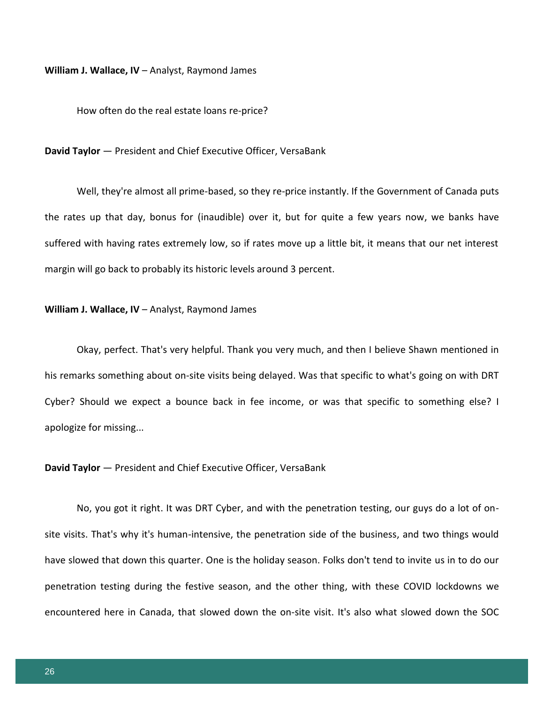**William J. Wallace, IV** – Analyst, Raymond James

How often do the real estate loans re-price?

#### **David Taylor** — President and Chief Executive Officer, VersaBank

Well, they're almost all prime-based, so they re-price instantly. If the Government of Canada puts the rates up that day, bonus for (inaudible) over it, but for quite a few years now, we banks have suffered with having rates extremely low, so if rates move up a little bit, it means that our net interest margin will go back to probably its historic levels around 3 percent.

#### **William J. Wallace, IV** – Analyst, Raymond James

Okay, perfect. That's very helpful. Thank you very much, and then I believe Shawn mentioned in his remarks something about on-site visits being delayed. Was that specific to what's going on with DRT Cyber? Should we expect a bounce back in fee income, or was that specific to something else? I apologize for missing...

#### **David Taylor** — President and Chief Executive Officer, VersaBank

No, you got it right. It was DRT Cyber, and with the penetration testing, our guys do a lot of onsite visits. That's why it's human-intensive, the penetration side of the business, and two things would have slowed that down this quarter. One is the holiday season. Folks don't tend to invite us in to do our penetration testing during the festive season, and the other thing, with these COVID lockdowns we encountered here in Canada, that slowed down the on-site visit. It's also what slowed down the SOC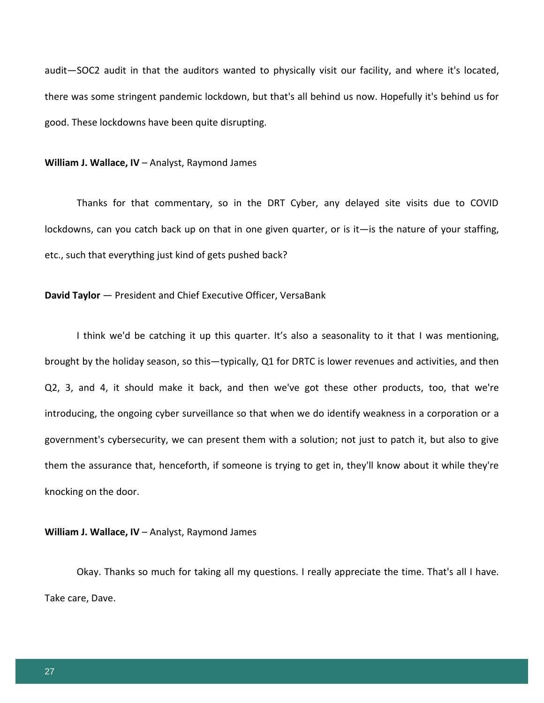audit—SOC2 audit in that the auditors wanted to physically visit our facility, and where it's located, there was some stringent pandemic lockdown, but that's all behind us now. Hopefully it's behind us for good. These lockdowns have been quite disrupting.

#### **William J. Wallace, IV** – Analyst, Raymond James

Thanks for that commentary, so in the DRT Cyber, any delayed site visits due to COVID lockdowns, can you catch back up on that in one given quarter, or is it—is the nature of your staffing, etc., such that everything just kind of gets pushed back?

# **David Taylor** — President and Chief Executive Officer, VersaBank

I think we'd be catching it up this quarter. It's also a seasonality to it that I was mentioning, brought by the holiday season, so this—typically, Q1 for DRTC is lower revenues and activities, and then Q2, 3, and 4, it should make it back, and then we've got these other products, too, that we're introducing, the ongoing cyber surveillance so that when we do identify weakness in a corporation or a government's cybersecurity, we can present them with a solution; not just to patch it, but also to give them the assurance that, henceforth, if someone is trying to get in, they'll know about it while they're knocking on the door.

#### **William J. Wallace, IV** – Analyst, Raymond James

Okay. Thanks so much for taking all my questions. I really appreciate the time. That's all I have. Take care, Dave.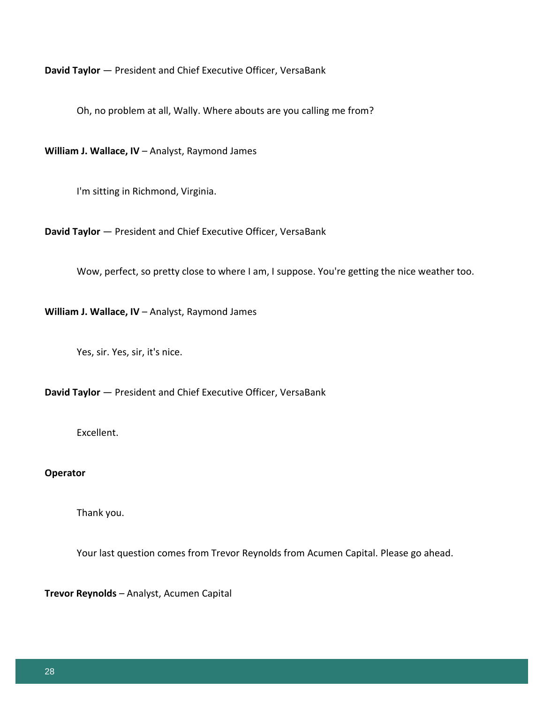**David Taylor** — President and Chief Executive Officer, VersaBank

Oh, no problem at all, Wally. Where abouts are you calling me from?

**William J. Wallace, IV** – Analyst, Raymond James

I'm sitting in Richmond, Virginia.

**David Taylor** — President and Chief Executive Officer, VersaBank

Wow, perfect, so pretty close to where I am, I suppose. You're getting the nice weather too.

**William J. Wallace, IV** – Analyst, Raymond James

Yes, sir. Yes, sir, it's nice.

**David Taylor** — President and Chief Executive Officer, VersaBank

Excellent.

# **Operator**

Thank you.

Your last question comes from Trevor Reynolds from Acumen Capital. Please go ahead.

**Trevor Reynolds** – Analyst, Acumen Capital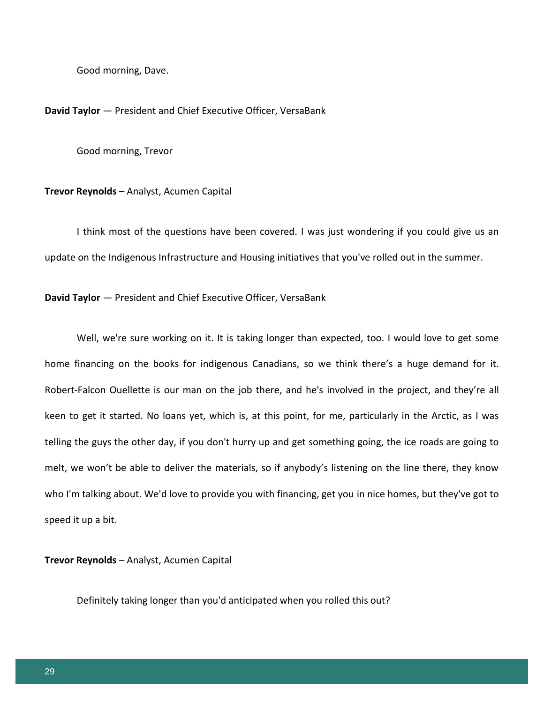Good morning, Dave.

#### **David Taylor** — President and Chief Executive Officer, VersaBank

Good morning, Trevor

#### **Trevor Reynolds** – Analyst, Acumen Capital

I think most of the questions have been covered. I was just wondering if you could give us an update on the Indigenous Infrastructure and Housing initiatives that you've rolled out in the summer.

**David Taylor** — President and Chief Executive Officer, VersaBank

Well, we're sure working on it. It is taking longer than expected, too. I would love to get some home financing on the books for indigenous Canadians, so we think there's a huge demand for it. Robert-Falcon Ouellette is our man on the job there, and he's involved in the project, and they're all keen to get it started. No loans yet, which is, at this point, for me, particularly in the Arctic, as I was telling the guys the other day, if you don't hurry up and get something going, the ice roads are going to melt, we won't be able to deliver the materials, so if anybody's listening on the line there, they know who I'm talking about. We'd love to provide you with financing, get you in nice homes, but they've got to speed it up a bit.

**Trevor Reynolds** – Analyst, Acumen Capital

Definitely taking longer than you'd anticipated when you rolled this out?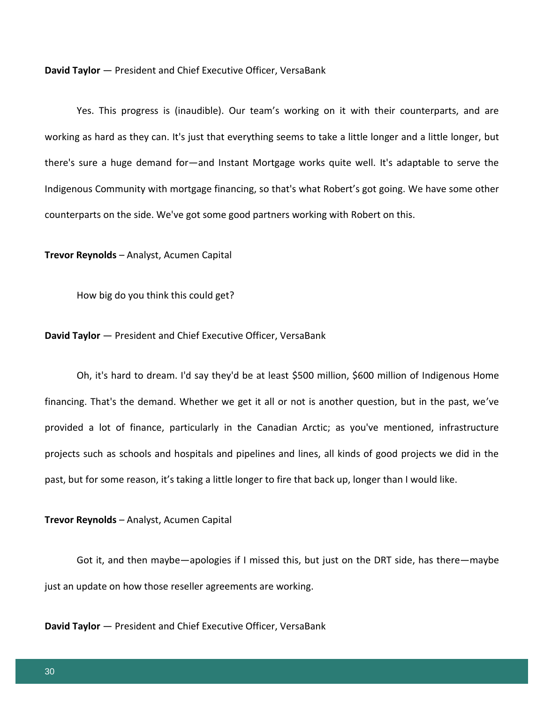**David Taylor** — President and Chief Executive Officer, VersaBank

Yes. This progress is (inaudible). Our team's working on it with their counterparts, and are working as hard as they can. It's just that everything seems to take a little longer and a little longer, but there's sure a huge demand for—and Instant Mortgage works quite well. It's adaptable to serve the Indigenous Community with mortgage financing, so that's what Robert's got going. We have some other counterparts on the side. We've got some good partners working with Robert on this.

**Trevor Reynolds** – Analyst, Acumen Capital

How big do you think this could get?

**David Taylor** — President and Chief Executive Officer, VersaBank

Oh, it's hard to dream. I'd say they'd be at least \$500 million, \$600 million of Indigenous Home financing. That's the demand. Whether we get it all or not is another question, but in the past, we've provided a lot of finance, particularly in the Canadian Arctic; as you've mentioned, infrastructure projects such as schools and hospitals and pipelines and lines, all kinds of good projects we did in the past, but for some reason, it's taking a little longer to fire that back up, longer than I would like.

**Trevor Reynolds** – Analyst, Acumen Capital

Got it, and then maybe—apologies if I missed this, but just on the DRT side, has there—maybe just an update on how those reseller agreements are working.

**David Taylor** — President and Chief Executive Officer, VersaBank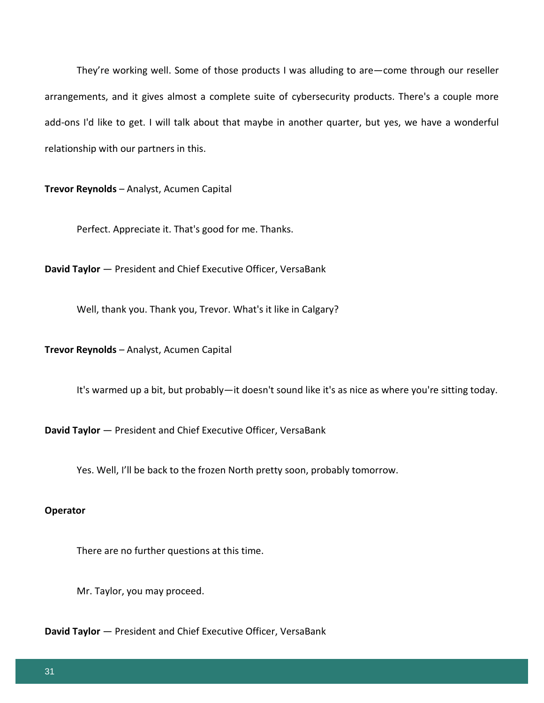They're working well. Some of those products I was alluding to are—come through our reseller arrangements, and it gives almost a complete suite of cybersecurity products. There's a couple more add-ons I'd like to get. I will talk about that maybe in another quarter, but yes, we have a wonderful relationship with our partners in this.

**Trevor Reynolds** – Analyst, Acumen Capital

Perfect. Appreciate it. That's good for me. Thanks.

**David Taylor** — President and Chief Executive Officer, VersaBank

Well, thank you. Thank you, Trevor. What's it like in Calgary?

**Trevor Reynolds** – Analyst, Acumen Capital

It's warmed up a bit, but probably—it doesn't sound like it's as nice as where you're sitting today.

**David Taylor** — President and Chief Executive Officer, VersaBank

Yes. Well, I'll be back to the frozen North pretty soon, probably tomorrow.

# **Operator**

There are no further questions at this time.

Mr. Taylor, you may proceed.

**David Taylor** — President and Chief Executive Officer, VersaBank